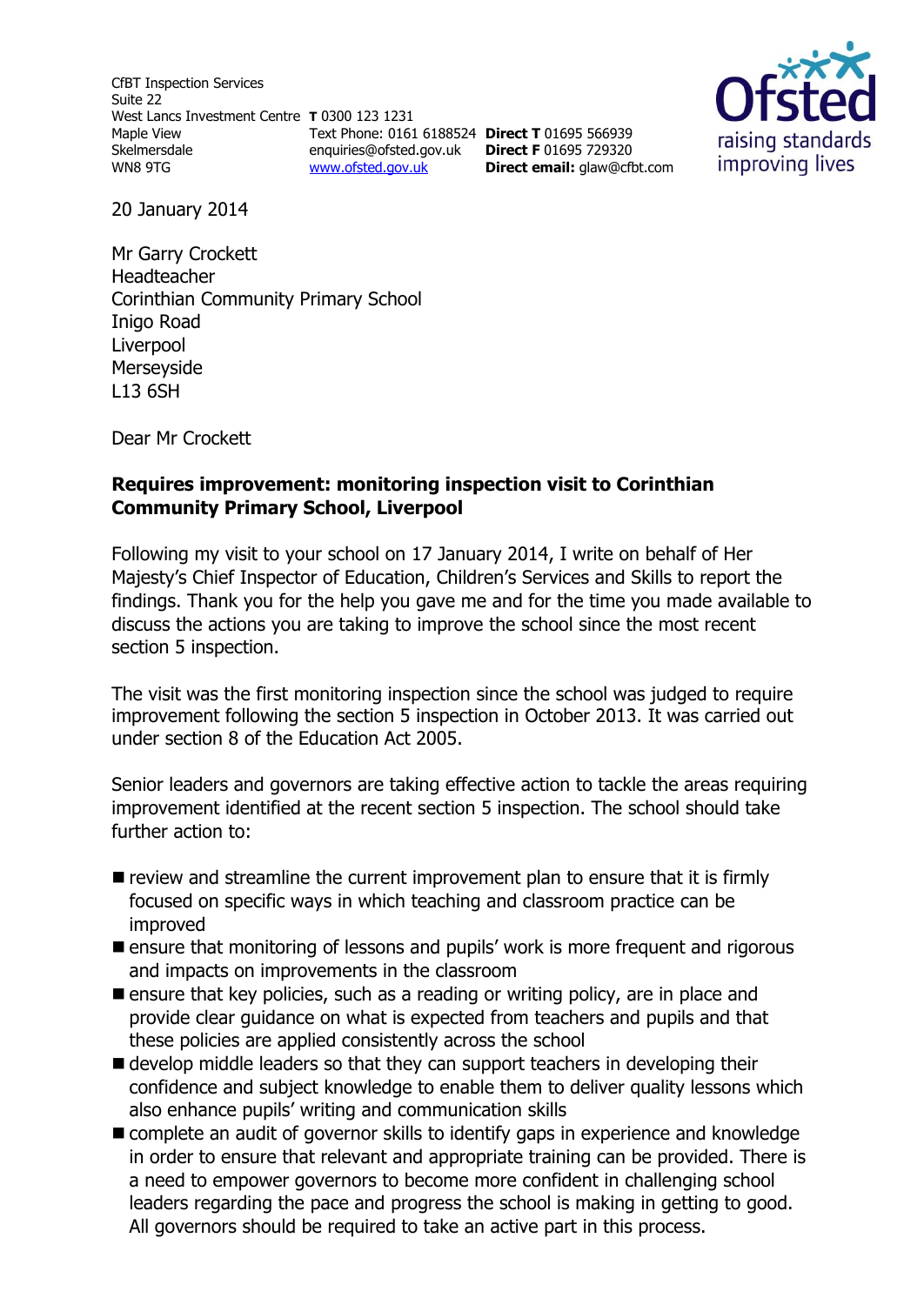CfBT Inspection Services Suite 22 West Lancs Investment Centre **T** 0300 123 1231 Maple View Skelmersdale WN8 9TG [www.ofsted.gov.uk](http://www.ofsted.gov.uk/)

Text Phone: 0161 6188524 **Direct T** 01695 566939 enquiries@ofsted.gov.uk **Direct F** 01695 729320 **Direct email:** [glaw@cfbt.com](file:///C:/Users/liwaskow/AppData/QMS%20Doc%20Control/Ofsted%20Zip%20Files/2.%20CURRENT%20(PLEASE%20DO%20NOT%20AMEND)/S8/Current%20s8%20docs/s8%20Inspection%20Instruments/s8_inspection_instruments/s8%20RI%20templates(RP231213%201626)/s8%20RI%20templates/glaw@cfbt.com)



20 January 2014

Mr Garry Crockett Headteacher Corinthian Community Primary School Inigo Road Liverpool Merseyside L13 6SH

Dear Mr Crockett

#### **Requires improvement: monitoring inspection visit to Corinthian Community Primary School, Liverpool**

Following my visit to your school on 17 January 2014, I write on behalf of Her Majesty's Chief Inspector of Education, Children's Services and Skills to report the findings. Thank you for the help you gave me and for the time you made available to discuss the actions you are taking to improve the school since the most recent section 5 inspection.

The visit was the first monitoring inspection since the school was judged to require improvement following the section 5 inspection in October 2013. It was carried out under section 8 of the Education Act 2005.

Senior leaders and governors are taking effective action to tackle the areas requiring improvement identified at the recent section 5 inspection. The school should take further action to:

- $\blacksquare$  review and streamline the current improvement plan to ensure that it is firmly focused on specific ways in which teaching and classroom practice can be improved
- **Example 1** ensure that monitoring of lessons and pupils' work is more frequent and rigorous and impacts on improvements in the classroom
- **E** ensure that key policies, such as a reading or writing policy, are in place and provide clear guidance on what is expected from teachers and pupils and that these policies are applied consistently across the school
- develop middle leaders so that they can support teachers in developing their confidence and subject knowledge to enable them to deliver quality lessons which also enhance pupils' writing and communication skills
- **E** complete an audit of governor skills to identify gaps in experience and knowledge in order to ensure that relevant and appropriate training can be provided. There is a need to empower governors to become more confident in challenging school leaders regarding the pace and progress the school is making in getting to good. All governors should be required to take an active part in this process.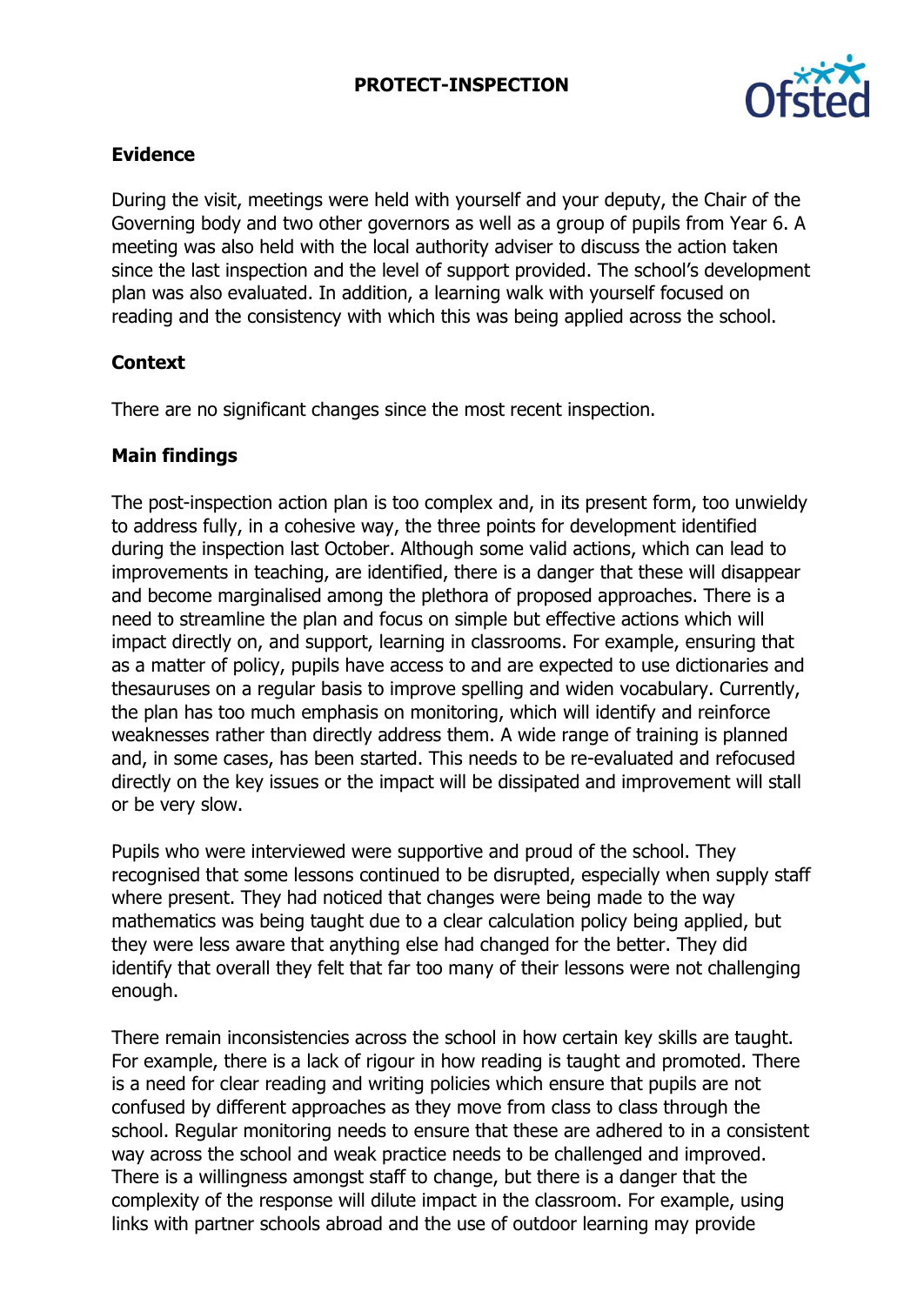### **PROTECT-INSPECTION**



### **Evidence**

During the visit, meetings were held with yourself and your deputy, the Chair of the Governing body and two other governors as well as a group of pupils from Year 6. A meeting was also held with the local authority adviser to discuss the action taken since the last inspection and the level of support provided. The school's development plan was also evaluated. In addition, a learning walk with yourself focused on reading and the consistency with which this was being applied across the school.

# **Context**

There are no significant changes since the most recent inspection.

### **Main findings**

The post-inspection action plan is too complex and, in its present form, too unwieldy to address fully, in a cohesive way, the three points for development identified during the inspection last October. Although some valid actions, which can lead to improvements in teaching, are identified, there is a danger that these will disappear and become marginalised among the plethora of proposed approaches. There is a need to streamline the plan and focus on simple but effective actions which will impact directly on, and support, learning in classrooms. For example, ensuring that as a matter of policy, pupils have access to and are expected to use dictionaries and thesauruses on a regular basis to improve spelling and widen vocabulary. Currently, the plan has too much emphasis on monitoring, which will identify and reinforce weaknesses rather than directly address them. A wide range of training is planned and, in some cases, has been started. This needs to be re-evaluated and refocused directly on the key issues or the impact will be dissipated and improvement will stall or be very slow.

Pupils who were interviewed were supportive and proud of the school. They recognised that some lessons continued to be disrupted, especially when supply staff where present. They had noticed that changes were being made to the way mathematics was being taught due to a clear calculation policy being applied, but they were less aware that anything else had changed for the better. They did identify that overall they felt that far too many of their lessons were not challenging enough.

There remain inconsistencies across the school in how certain key skills are taught. For example, there is a lack of rigour in how reading is taught and promoted. There is a need for clear reading and writing policies which ensure that pupils are not confused by different approaches as they move from class to class through the school. Regular monitoring needs to ensure that these are adhered to in a consistent way across the school and weak practice needs to be challenged and improved. There is a willingness amongst staff to change, but there is a danger that the complexity of the response will dilute impact in the classroom. For example, using links with partner schools abroad and the use of outdoor learning may provide